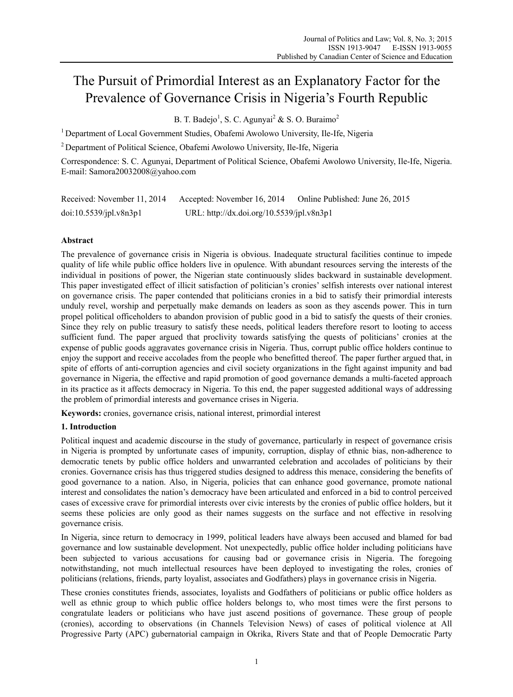# The Pursuit of Primordial Interest as an Explanatory Factor for the Prevalence of Governance Crisis in Nigeria's Fourth Republic

B. T. Badejo<sup>1</sup>, S. C. Agunyai<sup>2</sup> & S. O. Buraimo<sup>2</sup>

<sup>1</sup> Department of Local Government Studies, Obafemi Awolowo University, Ile-Ife, Nigeria

2 Department of Political Science, Obafemi Awolowo University, Ile-Ife, Nigeria

Correspondence: S. C. Agunyai, Department of Political Science, Obafemi Awolowo University, Ile-Ife, Nigeria. E-mail: Samora20032008@yahoo.com

| Received: November 11, 2014 | Accepted: November 16, 2014               | Online Published: June 26, 2015 |
|-----------------------------|-------------------------------------------|---------------------------------|
| doi:10.5539/ipl.v8n3p1      | URL: http://dx.doi.org/10.5539/jpl.v8n3p1 |                                 |

# **Abstract**

The prevalence of governance crisis in Nigeria is obvious. Inadequate structural facilities continue to impede quality of life while public office holders live in opulence. With abundant resources serving the interests of the individual in positions of power, the Nigerian state continuously slides backward in sustainable development. This paper investigated effect of illicit satisfaction of politician's cronies' selfish interests over national interest on governance crisis. The paper contended that politicians cronies in a bid to satisfy their primordial interests unduly revel, worship and perpetually make demands on leaders as soon as they ascends power. This in turn propel political officeholders to abandon provision of public good in a bid to satisfy the quests of their cronies. Since they rely on public treasury to satisfy these needs, political leaders therefore resort to looting to access sufficient fund. The paper argued that proclivity towards satisfying the quests of politicians' cronies at the expense of public goods aggravates governance crisis in Nigeria. Thus, corrupt public office holders continue to enjoy the support and receive accolades from the people who benefitted thereof. The paper further argued that, in spite of efforts of anti-corruption agencies and civil society organizations in the fight against impunity and bad governance in Nigeria, the effective and rapid promotion of good governance demands a multi-faceted approach in its practice as it affects democracy in Nigeria. To this end, the paper suggested additional ways of addressing the problem of primordial interests and governance crises in Nigeria.

**Keywords:** cronies, governance crisis, national interest, primordial interest

# **1. Introduction**

Political inquest and academic discourse in the study of governance, particularly in respect of governance crisis in Nigeria is prompted by unfortunate cases of impunity, corruption, display of ethnic bias, non-adherence to democratic tenets by public office holders and unwarranted celebration and accolades of politicians by their cronies. Governance crisis has thus triggered studies designed to address this menace, considering the benefits of good governance to a nation. Also, in Nigeria, policies that can enhance good governance, promote national interest and consolidates the nation's democracy have been articulated and enforced in a bid to control perceived cases of excessive crave for primordial interests over civic interests by the cronies of public office holders, but it seems these policies are only good as their names suggests on the surface and not effective in resolving governance crisis.

In Nigeria, since return to democracy in 1999, political leaders have always been accused and blamed for bad governance and low sustainable development. Not unexpectedly, public office holder including politicians have been subjected to various accusations for causing bad or governance crisis in Nigeria. The foregoing notwithstanding, not much intellectual resources have been deployed to investigating the roles, cronies of politicians (relations, friends, party loyalist, associates and Godfathers) plays in governance crisis in Nigeria.

These cronies constitutes friends, associates, loyalists and Godfathers of politicians or public office holders as well as ethnic group to which public office holders belongs to, who most times were the first persons to congratulate leaders or politicians who have just ascend positions of governance. These group of people (cronies), according to observations (in Channels Television News) of cases of political violence at All Progressive Party (APC) gubernatorial campaign in Okrika, Rivers State and that of People Democratic Party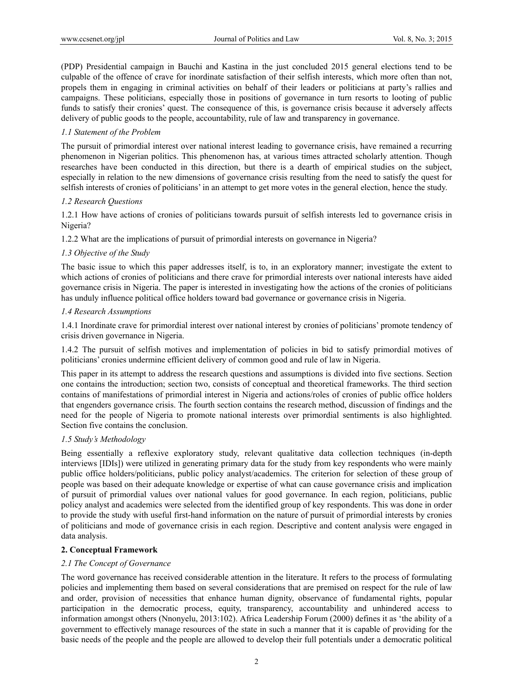(PDP) Presidential campaign in Bauchi and Kastina in the just concluded 2015 general elections tend to be culpable of the offence of crave for inordinate satisfaction of their selfish interests, which more often than not, propels them in engaging in criminal activities on behalf of their leaders or politicians at party's rallies and campaigns. These politicians, especially those in positions of governance in turn resorts to looting of public funds to satisfy their cronies' quest. The consequence of this, is governance crisis because it adversely affects delivery of public goods to the people, accountability, rule of law and transparency in governance.

# *1.1 Statement of the Problem*

The pursuit of primordial interest over national interest leading to governance crisis, have remained a recurring phenomenon in Nigerian politics. This phenomenon has, at various times attracted scholarly attention. Though researches have been conducted in this direction, but there is a dearth of empirical studies on the subject, especially in relation to the new dimensions of governance crisis resulting from the need to satisfy the quest for selfish interests of cronies of politicians' in an attempt to get more votes in the general election, hence the study.

# *1.2 Research Questions*

1.2.1 How have actions of cronies of politicians towards pursuit of selfish interests led to governance crisis in Nigeria?

1.2.2 What are the implications of pursuit of primordial interests on governance in Nigeria?

# *1.3 Objective of the Study*

The basic issue to which this paper addresses itself, is to, in an exploratory manner; investigate the extent to which actions of cronies of politicians and there crave for primordial interests over national interests have aided governance crisis in Nigeria. The paper is interested in investigating how the actions of the cronies of politicians has unduly influence political office holders toward bad governance or governance crisis in Nigeria.

# *1.4 Research Assumptions*

1.4.1 Inordinate crave for primordial interest over national interest by cronies of politicians' promote tendency of crisis driven governance in Nigeria.

1.4.2 The pursuit of selfish motives and implementation of policies in bid to satisfy primordial motives of politicians' cronies undermine efficient delivery of common good and rule of law in Nigeria.

This paper in its attempt to address the research questions and assumptions is divided into five sections. Section one contains the introduction; section two, consists of conceptual and theoretical frameworks. The third section contains of manifestations of primordial interest in Nigeria and actions/roles of cronies of public office holders that engenders governance crisis. The fourth section contains the research method, discussion of findings and the need for the people of Nigeria to promote national interests over primordial sentiments is also highlighted. Section five contains the conclusion.

# *1.5 Study's Methodology*

Being essentially a reflexive exploratory study, relevant qualitative data collection techniques (in-depth interviews [IDIs]) were utilized in generating primary data for the study from key respondents who were mainly public office holders/politicians, public policy analyst/academics. The criterion for selection of these group of people was based on their adequate knowledge or expertise of what can cause governance crisis and implication of pursuit of primordial values over national values for good governance. In each region, politicians, public policy analyst and academics were selected from the identified group of key respondents. This was done in order to provide the study with useful first-hand information on the nature of pursuit of primordial interests by cronies of politicians and mode of governance crisis in each region. Descriptive and content analysis were engaged in data analysis.

# **2. Conceptual Framework**

# *2.1 The Concept of Governance*

The word governance has received considerable attention in the literature. It refers to the process of formulating policies and implementing them based on several considerations that are premised on respect for the rule of law and order, provision of necessities that enhance human dignity, observance of fundamental rights, popular participation in the democratic process, equity, transparency, accountability and unhindered access to information amongst others (Nnonyelu, 2013:102). Africa Leadership Forum (2000) defines it as 'the ability of a government to effectively manage resources of the state in such a manner that it is capable of providing for the basic needs of the people and the people are allowed to develop their full potentials under a democratic political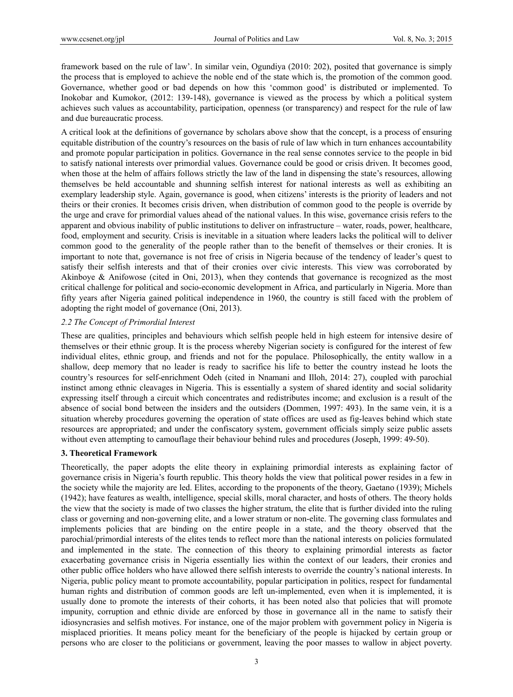framework based on the rule of law'. In similar vein, Ogundiya (2010: 202), posited that governance is simply the process that is employed to achieve the noble end of the state which is, the promotion of the common good. Governance, whether good or bad depends on how this 'common good' is distributed or implemented. To Inokobar and Kumokor, (2012: 139-148), governance is viewed as the process by which a political system achieves such values as accountability, participation, openness (or transparency) and respect for the rule of law and due bureaucratic process.

A critical look at the definitions of governance by scholars above show that the concept, is a process of ensuring equitable distribution of the country's resources on the basis of rule of law which in turn enhances accountability and promote popular participation in politics. Governance in the real sense connotes service to the people in bid to satisfy national interests over primordial values. Governance could be good or crisis driven. It becomes good, when those at the helm of affairs follows strictly the law of the land in dispensing the state's resources, allowing themselves be held accountable and shunning selfish interest for national interests as well as exhibiting an exemplary leadership style. Again, governance is good, when citizens' interests is the priority of leaders and not theirs or their cronies. It becomes crisis driven, when distribution of common good to the people is override by the urge and crave for primordial values ahead of the national values. In this wise, governance crisis refers to the apparent and obvious inability of public institutions to deliver on infrastructure – water, roads, power, healthcare, food, employment and security. Crisis is inevitable in a situation where leaders lacks the political will to deliver common good to the generality of the people rather than to the benefit of themselves or their cronies. It is important to note that, governance is not free of crisis in Nigeria because of the tendency of leader's quest to satisfy their selfish interests and that of their cronies over civic interests. This view was corroborated by Akinboye & Anifowose (cited in Oni, 2013), when they contends that governance is recognized as the most critical challenge for political and socio-economic development in Africa, and particularly in Nigeria. More than fifty years after Nigeria gained political independence in 1960, the country is still faced with the problem of adopting the right model of governance (Oni, 2013).

#### *2.2 The Concept of Primordial Interest*

These are qualities, principles and behaviours which selfish people held in high esteem for intensive desire of themselves or their ethnic group. It is the process whereby Nigerian society is configured for the interest of few individual elites, ethnic group, and friends and not for the populace. Philosophically, the entity wallow in a shallow, deep memory that no leader is ready to sacrifice his life to better the country instead he loots the country's resources for self-enrichment Odeh (cited in Nnamani and Illoh, 2014: 27), coupled with parochial instinct among ethnic cleavages in Nigeria. This is essentially a system of shared identity and social solidarity expressing itself through a circuit which concentrates and redistributes income; and exclusion is a result of the absence of social bond between the insiders and the outsiders (Dommen, 1997: 493). In the same vein, it is a situation whereby procedures governing the operation of state offices are used as fig-leaves behind which state resources are appropriated; and under the confiscatory system, government officials simply seize public assets without even attempting to camouflage their behaviour behind rules and procedures (Joseph, 1999: 49-50).

#### **3. Theoretical Framework**

Theoretically, the paper adopts the elite theory in explaining primordial interests as explaining factor of governance crisis in Nigeria's fourth republic. This theory holds the view that political power resides in a few in the society while the majority are led. Elites, according to the proponents of the theory, Gaetano (1939); Michels (1942); have features as wealth, intelligence, special skills, moral character, and hosts of others. The theory holds the view that the society is made of two classes the higher stratum, the elite that is further divided into the ruling class or governing and non-governing elite, and a lower stratum or non-elite. The governing class formulates and implements policies that are binding on the entire people in a state, and the theory observed that the parochial/primordial interests of the elites tends to reflect more than the national interests on policies formulated and implemented in the state. The connection of this theory to explaining primordial interests as factor exacerbating governance crisis in Nigeria essentially lies within the context of our leaders, their cronies and other public office holders who have allowed there selfish interests to override the country's national interests. In Nigeria, public policy meant to promote accountability, popular participation in politics, respect for fundamental human rights and distribution of common goods are left un-implemented, even when it is implemented, it is usually done to promote the interests of their cohorts, it has been noted also that policies that will promote impunity, corruption and ethnic divide are enforced by those in governance all in the name to satisfy their idiosyncrasies and selfish motives. For instance, one of the major problem with government policy in Nigeria is misplaced priorities. It means policy meant for the beneficiary of the people is hijacked by certain group or persons who are closer to the politicians or government, leaving the poor masses to wallow in abject poverty.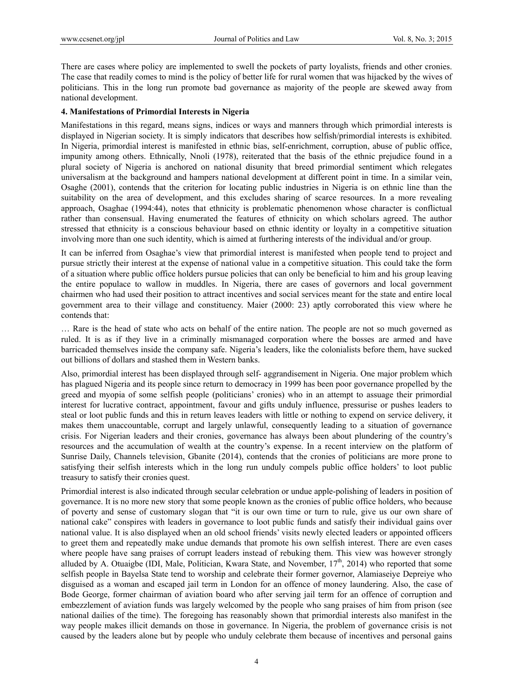There are cases where policy are implemented to swell the pockets of party loyalists, friends and other cronies. The case that readily comes to mind is the policy of better life for rural women that was hijacked by the wives of politicians. This in the long run promote bad governance as majority of the people are skewed away from national development.

#### **4. Manifestations of Primordial Interests in Nigeria**

Manifestations in this regard, means signs, indices or ways and manners through which primordial interests is displayed in Nigerian society. It is simply indicators that describes how selfish/primordial interests is exhibited. In Nigeria, primordial interest is manifested in ethnic bias, self-enrichment, corruption, abuse of public office, impunity among others. Ethnically, Nnoli (1978), reiterated that the basis of the ethnic prejudice found in a plural society of Nigeria is anchored on national disunity that breed primordial sentiment which relegates universalism at the background and hampers national development at different point in time. In a similar vein, Osaghe (2001), contends that the criterion for locating public industries in Nigeria is on ethnic line than the suitability on the area of development, and this excludes sharing of scarce resources. In a more revealing approach, Osaghae (1994:44), notes that ethnicity is problematic phenomenon whose character is conflictual rather than consensual. Having enumerated the features of ethnicity on which scholars agreed. The author stressed that ethnicity is a conscious behaviour based on ethnic identity or loyalty in a competitive situation involving more than one such identity, which is aimed at furthering interests of the individual and/or group.

It can be inferred from Osaghae's view that primordial interest is manifested when people tend to project and pursue strictly their interest at the expense of national value in a competitive situation. This could take the form of a situation where public office holders pursue policies that can only be beneficial to him and his group leaving the entire populace to wallow in muddles. In Nigeria, there are cases of governors and local government chairmen who had used their position to attract incentives and social services meant for the state and entire local government area to their village and constituency. Maier (2000: 23) aptly corroborated this view where he contends that:

… Rare is the head of state who acts on behalf of the entire nation. The people are not so much governed as ruled. It is as if they live in a criminally mismanaged corporation where the bosses are armed and have barricaded themselves inside the company safe. Nigeria's leaders, like the colonialists before them, have sucked out billions of dollars and stashed them in Western banks.

Also, primordial interest has been displayed through self- aggrandisement in Nigeria. One major problem which has plagued Nigeria and its people since return to democracy in 1999 has been poor governance propelled by the greed and myopia of some selfish people (politicians' cronies) who in an attempt to assuage their primordial interest for lucrative contract, appointment, favour and gifts unduly influence, pressurise or pushes leaders to steal or loot public funds and this in return leaves leaders with little or nothing to expend on service delivery, it makes them unaccountable, corrupt and largely unlawful, consequently leading to a situation of governance crisis. For Nigerian leaders and their cronies, governance has always been about plundering of the country's resources and the accumulation of wealth at the country's expense. In a recent interview on the platform of Sunrise Daily, Channels television, Gbanite (2014), contends that the cronies of politicians are more prone to satisfying their selfish interests which in the long run unduly compels public office holders' to loot public treasury to satisfy their cronies quest.

Primordial interest is also indicated through secular celebration or undue apple-polishing of leaders in position of governance. It is no more new story that some people known as the cronies of public office holders, who because of poverty and sense of customary slogan that "it is our own time or turn to rule, give us our own share of national cake" conspires with leaders in governance to loot public funds and satisfy their individual gains over national value. It is also displayed when an old school friends' visits newly elected leaders or appointed officers to greet them and repeatedly make undue demands that promote his own selfish interest. There are even cases where people have sang praises of corrupt leaders instead of rebuking them. This view was however strongly alluded by A. Otuaigbe (IDI, Male, Politician, Kwara State, and November, 17<sup>th</sup>, 2014) who reported that some selfish people in Bayelsa State tend to worship and celebrate their former governor, Alamiaseiye Depreiye who disguised as a woman and escaped jail term in London for an offence of money laundering. Also, the case of Bode George, former chairman of aviation board who after serving jail term for an offence of corruption and embezzlement of aviation funds was largely welcomed by the people who sang praises of him from prison (see national dailies of the time). The foregoing has reasonably shown that primordial interests also manifest in the way people makes illicit demands on those in governance. In Nigeria, the problem of governance crisis is not caused by the leaders alone but by people who unduly celebrate them because of incentives and personal gains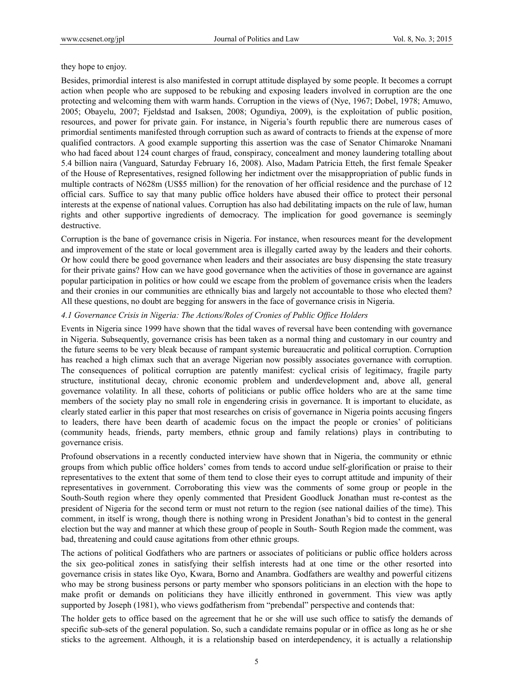#### they hope to enjoy.

Besides, primordial interest is also manifested in corrupt attitude displayed by some people. It becomes a corrupt action when people who are supposed to be rebuking and exposing leaders involved in corruption are the one protecting and welcoming them with warm hands. Corruption in the views of (Nye, 1967; Dobel, 1978; Amuwo, 2005; Obayelu, 2007; Fjeldstad and Isaksen, 2008; Ogundiya, 2009), is the exploitation of public position, resources, and power for private gain. For instance, in Nigeria's fourth republic there are numerous cases of primordial sentiments manifested through corruption such as award of contracts to friends at the expense of more qualified contractors. A good example supporting this assertion was the case of Senator Chimaroke Nnamani who had faced about 124 count charges of fraud, conspiracy, concealment and money laundering totalling about 5.4 billion naira (Vanguard, Saturday February 16, 2008). Also, Madam Patricia Etteh, the first female Speaker of the House of Representatives, resigned following her indictment over the misappropriation of public funds in multiple contracts of N628m (US\$5 million) for the renovation of her official residence and the purchase of 12 official cars. Suffice to say that many public office holders have abused their office to protect their personal interests at the expense of national values. Corruption has also had debilitating impacts on the rule of law, human rights and other supportive ingredients of democracy. The implication for good governance is seemingly destructive.

Corruption is the bane of governance crisis in Nigeria. For instance, when resources meant for the development and improvement of the state or local government area is illegally carted away by the leaders and their cohorts. Or how could there be good governance when leaders and their associates are busy dispensing the state treasury for their private gains? How can we have good governance when the activities of those in governance are against popular participation in politics or how could we escape from the problem of governance crisis when the leaders and their cronies in our communities are ethnically bias and largely not accountable to those who elected them? All these questions, no doubt are begging for answers in the face of governance crisis in Nigeria.

# *4.1 Governance Crisis in Nigeria: The Actions/Roles of Cronies of Public Office Holders*

Events in Nigeria since 1999 have shown that the tidal waves of reversal have been contending with governance in Nigeria. Subsequently, governance crisis has been taken as a normal thing and customary in our country and the future seems to be very bleak because of rampant systemic bureaucratic and political corruption. Corruption has reached a high climax such that an average Nigerian now possibly associates governance with corruption. The consequences of political corruption are patently manifest: cyclical crisis of legitimacy, fragile party structure, institutional decay, chronic economic problem and underdevelopment and, above all, general governance volatility. In all these, cohorts of politicians or public office holders who are at the same time members of the society play no small role in engendering crisis in governance. It is important to elucidate, as clearly stated earlier in this paper that most researches on crisis of governance in Nigeria points accusing fingers to leaders, there have been dearth of academic focus on the impact the people or cronies' of politicians (community heads, friends, party members, ethnic group and family relations) plays in contributing to governance crisis.

Profound observations in a recently conducted interview have shown that in Nigeria, the community or ethnic groups from which public office holders' comes from tends to accord undue self-glorification or praise to their representatives to the extent that some of them tend to close their eyes to corrupt attitude and impunity of their representatives in government. Corroborating this view was the comments of some group or people in the South-South region where they openly commented that President Goodluck Jonathan must re-contest as the president of Nigeria for the second term or must not return to the region (see national dailies of the time). This comment, in itself is wrong, though there is nothing wrong in President Jonathan's bid to contest in the general election but the way and manner at which these group of people in South- South Region made the comment, was bad, threatening and could cause agitations from other ethnic groups.

The actions of political Godfathers who are partners or associates of politicians or public office holders across the six geo-political zones in satisfying their selfish interests had at one time or the other resorted into governance crisis in states like Oyo, Kwara, Borno and Anambra. Godfathers are wealthy and powerful citizens who may be strong business persons or party member who sponsors politicians in an election with the hope to make profit or demands on politicians they have illicitly enthroned in government. This view was aptly supported by Joseph (1981), who views godfatherism from "prebendal" perspective and contends that:

The holder gets to office based on the agreement that he or she will use such office to satisfy the demands of specific sub-sets of the general population. So, such a candidate remains popular or in office as long as he or she sticks to the agreement. Although, it is a relationship based on interdependency, it is actually a relationship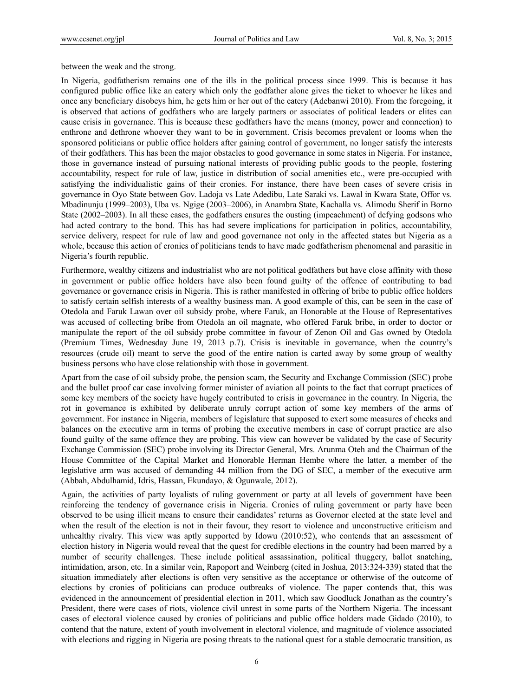between the weak and the strong.

In Nigeria, godfatherism remains one of the ills in the political process since 1999. This is because it has configured public office like an eatery which only the godfather alone gives the ticket to whoever he likes and once any beneficiary disobeys him, he gets him or her out of the eatery (Adebanwi 2010). From the foregoing, it is observed that actions of godfathers who are largely partners or associates of political leaders or elites can cause crisis in governance. This is because these godfathers have the means (money, power and connection) to enthrone and dethrone whoever they want to be in government. Crisis becomes prevalent or looms when the sponsored politicians or public office holders after gaining control of government, no longer satisfy the interests of their godfathers. This has been the major obstacles to good governance in some states in Nigeria. For instance, those in governance instead of pursuing national interests of providing public goods to the people, fostering accountability, respect for rule of law, justice in distribution of social amenities etc., were pre-occupied with satisfying the individualistic gains of their cronies. For instance, there have been cases of severe crisis in governance in Oyo State between Gov. Ladoja vs Late Adedibu, Late Saraki vs. Lawal in Kwara State, Offor vs. Mbadinunju (1999–2003), Uba vs. Ngige (2003–2006), in Anambra State, Kachalla vs. Alimodu Sherif in Borno State (2002–2003). In all these cases, the godfathers ensures the ousting (impeachment) of defying godsons who had acted contrary to the bond. This has had severe implications for participation in politics, accountability, service delivery, respect for rule of law and good governance not only in the affected states but Nigeria as a whole, because this action of cronies of politicians tends to have made godfatherism phenomenal and parasitic in Nigeria's fourth republic.

Furthermore, wealthy citizens and industrialist who are not political godfathers but have close affinity with those in government or public office holders have also been found guilty of the offence of contributing to bad governance or governance crisis in Nigeria. This is rather manifested in offering of bribe to public office holders to satisfy certain selfish interests of a wealthy business man. A good example of this, can be seen in the case of Otedola and Faruk Lawan over oil subsidy probe, where Faruk, an Honorable at the House of Representatives was accused of collecting bribe from Otedola an oil magnate, who offered Faruk bribe, in order to doctor or manipulate the report of the oil subsidy probe committee in favour of Zenon Oil and Gas owned by Otedola (Premium Times, Wednesday June 19, 2013 p.7). Crisis is inevitable in governance, when the country's resources (crude oil) meant to serve the good of the entire nation is carted away by some group of wealthy business persons who have close relationship with those in government.

Apart from the case of oil subsidy probe, the pension scam, the Security and Exchange Commission (SEC) probe and the bullet proof car case involving former minister of aviation all points to the fact that corrupt practices of some key members of the society have hugely contributed to crisis in governance in the country. In Nigeria, the rot in governance is exhibited by deliberate unruly corrupt action of some key members of the arms of government. For instance in Nigeria, members of legislature that supposed to exert some measures of checks and balances on the executive arm in terms of probing the executive members in case of corrupt practice are also found guilty of the same offence they are probing. This view can however be validated by the case of Security Exchange Commission (SEC) probe involving its Director General, Mrs. Arunma Oteh and the Chairman of the House Committee of the Capital Market and Honorable Herman Hembe where the latter, a member of the legislative arm was accused of demanding 44 million from the DG of SEC, a member of the executive arm (Abbah, Abdulhamid, Idris, Hassan, Ekundayo, & Ogunwale, 2012).

Again, the activities of party loyalists of ruling government or party at all levels of government have been reinforcing the tendency of governance crisis in Nigeria. Cronies of ruling government or party have been observed to be using illicit means to ensure their candidates' returns as Governor elected at the state level and when the result of the election is not in their favour, they resort to violence and unconstructive criticism and unhealthy rivalry. This view was aptly supported by Idowu (2010:52), who contends that an assessment of election history in Nigeria would reveal that the quest for credible elections in the country had been marred by a number of security challenges. These include political assassination, political thuggery, ballot snatching, intimidation, arson, etc. In a similar vein, Rapoport and Weinberg (cited in Joshua, 2013:324-339) stated that the situation immediately after elections is often very sensitive as the acceptance or otherwise of the outcome of elections by cronies of politicians can produce outbreaks of violence. The paper contends that, this was evidenced in the announcement of presidential election in 2011, which saw Goodluck Jonathan as the country's President, there were cases of riots, violence civil unrest in some parts of the Northern Nigeria. The incessant cases of electoral violence caused by cronies of politicians and public office holders made Gidado (2010), to contend that the nature, extent of youth involvement in electoral violence, and magnitude of violence associated with elections and rigging in Nigeria are posing threats to the national quest for a stable democratic transition, as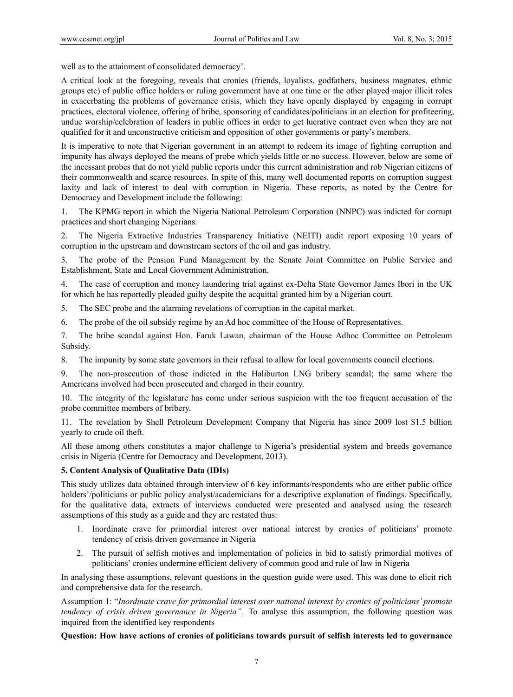well as to the attainment of consolidated democracy'.

A critical look at the foregoing, reveals that cronies (friends, loyalists, godfathers, business magnates, ethnic groups etc) of public office holders or ruling government have at one time or the other played major illicit roles in exacerbating the problems of governance crisis, which they have openly displayed by engaging in corrupt practices, electoral violence, offering of bribe, sponsoring of candidates/politicians in an election for profiteering, undue worship/celebration of leaders in public offices in order to get lucrative contract even when they are not qualified for it and unconstructive criticism and opposition of other governments or party's members.

It is imperative to note that Nigerian government in an attempt to redeem its image of fighting corruption and impunity has always deployed the means of probe which yields little or no success. However, below are some of the incessant probes that do not yield public reports under this current administration and rob Nigerian citizens of their commonwealth and scarce resources. In spite of this, many well documented reports on corruption suggest laxity and lack of interest to deal with corruption in Nigeria. These reports, as noted by the Centre for Democracy and Development include the following:

1. The KPMG report in which the Nigeria National Petroleum Corporation (NNPC) was indicted for corrupt practices and short changing Nigerians.

2. The Nigeria Extractive Industries Transparency Initiative (NEITI) audit report exposing 10 years of corruption in the upstream and downstream sectors of the oil and gas industry.

3. The probe of the Pension Fund Management by the Senate Joint Committee on Public Service and Establishment, State and Local Government Administration.

4. The case of corruption and money laundering trial against ex-Delta State Governor James Ibori in the UK for which he has reportedly pleaded guilty despite the acquittal granted him by a Nigerian court.

5. The SEC probe and the alarming revelations of corruption in the capital market.

6. The probe of the oil subsidy regime by an Ad hoc committee of the House of Representatives.

7. The bribe scandal against Hon. Faruk Lawan, chairman of the House Adhoc Committee on Petroleum Subsidy.

8. The impunity by some state governors in their refusal to allow for local governments council elections.

9. The non-prosecution of those indicted in the Haliburton LNG bribery scandal; the same where the Americans involved had been prosecuted and charged in their country.

10. The integrity of the legislature has come under serious suspicion with the too frequent accusation of the probe committee members of bribery.

11. The revelation by Shell Petroleum Development Company that Nigeria has since 2009 lost \$1.5 billion yearly to crude oil theft.

All these among others constitutes a major challenge to Nigeria's presidential system and breeds governance crisis in Nigeria (Centre for Democracy and Development, 2013).

# **5. Content Analysis of Qualitative Data (IDIs)**

This study utilizes data obtained through interview of 6 key informants/respondents who are either public office holders'/politicians or public policy analyst/academicians for a descriptive explanation of findings. Specifically, for the qualitative data, extracts of interviews conducted were presented and analysed using the research assumptions of this study as a guide and they are restated thus:

- 1. Inordinate crave for primordial interest over national interest by cronies of politicians' promote tendency of crisis driven governance in Nigeria
- 2. The pursuit of selfish motives and implementation of policies in bid to satisfy primordial motives of politicians' cronies undermine efficient delivery of common good and rule of law in Nigeria

In analysing these assumptions, relevant questions in the question guide were used. This was done to elicit rich and comprehensive data for the research.

Assumption 1: "*Inordinate crave for primordial interest over national interest by cronies of politicians' promote tendency of crisis driven governance in Nigeria".* To analyse this assumption, the following question was inquired from the identified key respondents

**Question: How have actions of cronies of politicians towards pursuit of selfish interests led to governance**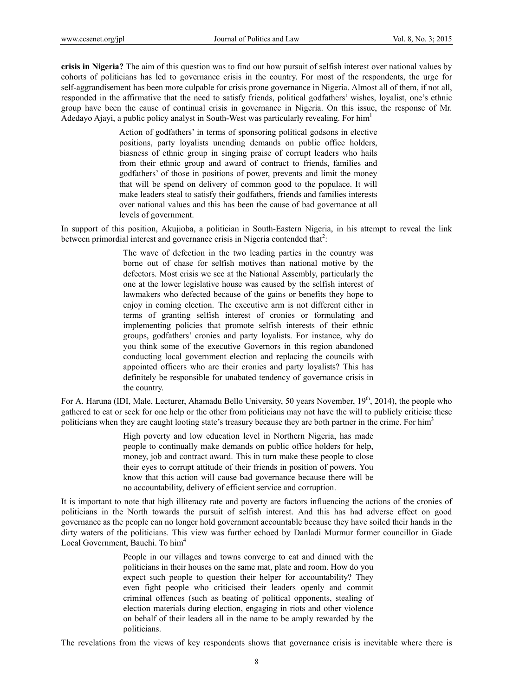**crisis in Nigeria?** The aim of this question was to find out how pursuit of selfish interest over national values by cohorts of politicians has led to governance crisis in the country. For most of the respondents, the urge for self-aggrandisement has been more culpable for crisis prone governance in Nigeria. Almost all of them, if not all, responded in the affirmative that the need to satisfy friends, political godfathers' wishes, loyalist, one's ethnic group have been the cause of continual crisis in governance in Nigeria. On this issue, the response of Mr. Adedayo Ajayi, a public policy analyst in South-West was particularly revealing. For  $\text{him}^1$ 

> Action of godfathers' in terms of sponsoring political godsons in elective positions, party loyalists unending demands on public office holders, biasness of ethnic group in singing praise of corrupt leaders who hails from their ethnic group and award of contract to friends, families and godfathers' of those in positions of power, prevents and limit the money that will be spend on delivery of common good to the populace. It will make leaders steal to satisfy their godfathers, friends and families interests over national values and this has been the cause of bad governance at all levels of government.

In support of this position, Akujioba, a politician in South-Eastern Nigeria, in his attempt to reveal the link between primordial interest and governance crisis in Nigeria contended that<sup>2</sup>:

> The wave of defection in the two leading parties in the country was borne out of chase for selfish motives than national motive by the defectors. Most crisis we see at the National Assembly, particularly the one at the lower legislative house was caused by the selfish interest of lawmakers who defected because of the gains or benefits they hope to enjoy in coming election. The executive arm is not different either in terms of granting selfish interest of cronies or formulating and implementing policies that promote selfish interests of their ethnic groups, godfathers' cronies and party loyalists. For instance, why do you think some of the executive Governors in this region abandoned conducting local government election and replacing the councils with appointed officers who are their cronies and party loyalists? This has definitely be responsible for unabated tendency of governance crisis in the country.

For A. Haruna (IDI, Male, Lecturer, Ahamadu Bello University, 50 years November, 19<sup>th</sup>, 2014), the people who gathered to eat or seek for one help or the other from politicians may not have the will to publicly criticise these politicians when they are caught looting state's treasury because they are both partner in the crime. For him<sup>3</sup>

> High poverty and low education level in Northern Nigeria, has made people to continually make demands on public office holders for help, money, job and contract award. This in turn make these people to close their eyes to corrupt attitude of their friends in position of powers. You know that this action will cause bad governance because there will be no accountability, delivery of efficient service and corruption.

It is important to note that high illiteracy rate and poverty are factors influencing the actions of the cronies of politicians in the North towards the pursuit of selfish interest. And this has had adverse effect on good governance as the people can no longer hold government accountable because they have soiled their hands in the dirty waters of the politicians. This view was further echoed by Danladi Murmur former councillor in Giade Local Government, Bauchi. To him<sup>4</sup>

> People in our villages and towns converge to eat and dinned with the politicians in their houses on the same mat, plate and room. How do you expect such people to question their helper for accountability? They even fight people who criticised their leaders openly and commit criminal offences (such as beating of political opponents, stealing of election materials during election, engaging in riots and other violence on behalf of their leaders all in the name to be amply rewarded by the politicians.

The revelations from the views of key respondents shows that governance crisis is inevitable where there is

8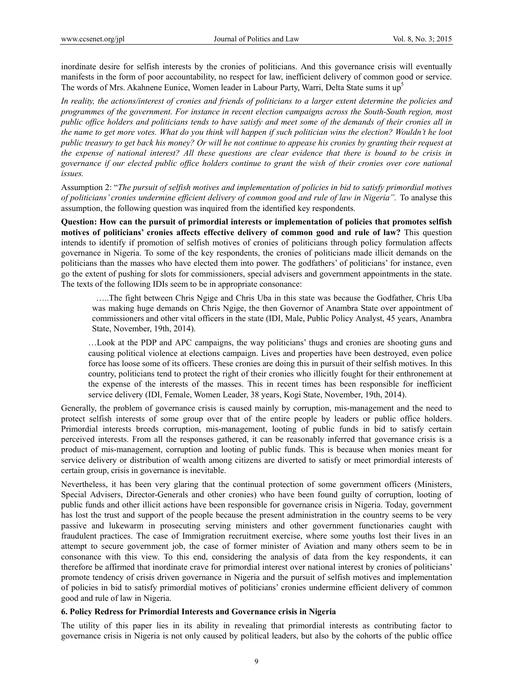inordinate desire for selfish interests by the cronies of politicians. And this governance crisis will eventually manifests in the form of poor accountability, no respect for law, inefficient delivery of common good or service. The words of Mrs. Akahnene Eunice, Women leader in Labour Party, Warri, Delta State sums it up<sup>5</sup>

*In reality, the actions/interest of cronies and friends of politicians to a larger extent determine the policies and programmes of the government. For instance in recent election campaigns across the South-South region, most public office holders and politicians tends to have satisfy and meet some of the demands of their cronies all in the name to get more votes. What do you think will happen if such politician wins the election? Wouldn't he loot public treasury to get back his money? Or will he not continue to appease his cronies by granting their request at the expense of national interest? All these questions are clear evidence that there is bound to be crisis in governance if our elected public office holders continue to grant the wish of their cronies over core national issues.* 

Assumption 2: "*The pursuit of selfish motives and implementation of policies in bid to satisfy primordial motives of politicians' cronies undermine efficient delivery of common good and rule of law in Nigeria".* To analyse this assumption, the following question was inquired from the identified key respondents.

**Question: How can the pursuit of primordial interests or implementation of policies that promotes selfish motives of politicians' cronies affects effective delivery of common good and rule of law?** This question intends to identify if promotion of selfish motives of cronies of politicians through policy formulation affects governance in Nigeria. To some of the key respondents, the cronies of politicians made illicit demands on the politicians than the masses who have elected them into power. The godfathers' of politicians' for instance, even go the extent of pushing for slots for commissioners, special advisers and government appointments in the state. The texts of the following IDIs seem to be in appropriate consonance:

…..The fight between Chris Ngige and Chris Uba in this state was because the Godfather, Chris Uba was making huge demands on Chris Ngige, the then Governor of Anambra State over appointment of commissioners and other vital officers in the state (IDI, Male, Public Policy Analyst, 45 years, Anambra State, November, 19th, 2014).

…Look at the PDP and APC campaigns, the way politicians' thugs and cronies are shooting guns and causing political violence at elections campaign. Lives and properties have been destroyed, even police force has loose some of its officers. These cronies are doing this in pursuit of their selfish motives. In this country, politicians tend to protect the right of their cronies who illicitly fought for their enthronement at the expense of the interests of the masses. This in recent times has been responsible for inefficient service delivery (IDI, Female, Women Leader, 38 years, Kogi State, November, 19th, 2014).

Generally, the problem of governance crisis is caused mainly by corruption, mis-management and the need to protect selfish interests of some group over that of the entire people by leaders or public office holders. Primordial interests breeds corruption, mis-management, looting of public funds in bid to satisfy certain perceived interests. From all the responses gathered, it can be reasonably inferred that governance crisis is a product of mis-management, corruption and looting of public funds. This is because when monies meant for service delivery or distribution of wealth among citizens are diverted to satisfy or meet primordial interests of certain group, crisis in governance is inevitable.

Nevertheless, it has been very glaring that the continual protection of some government officers (Ministers, Special Advisers, Director-Generals and other cronies) who have been found guilty of corruption, looting of public funds and other illicit actions have been responsible for governance crisis in Nigeria. Today, government has lost the trust and support of the people because the present administration in the country seems to be very passive and lukewarm in prosecuting serving ministers and other government functionaries caught with fraudulent practices. The case of Immigration recruitment exercise, where some youths lost their lives in an attempt to secure government job, the case of former minister of Aviation and many others seem to be in consonance with this view. To this end, considering the analysis of data from the key respondents, it can therefore be affirmed that inordinate crave for primordial interest over national interest by cronies of politicians' promote tendency of crisis driven governance in Nigeria and the pursuit of selfish motives and implementation of policies in bid to satisfy primordial motives of politicians' cronies undermine efficient delivery of common good and rule of law in Nigeria.

#### **6. Policy Redress for Primordial Interests and Governance crisis in Nigeria**

The utility of this paper lies in its ability in revealing that primordial interests as contributing factor to governance crisis in Nigeria is not only caused by political leaders, but also by the cohorts of the public office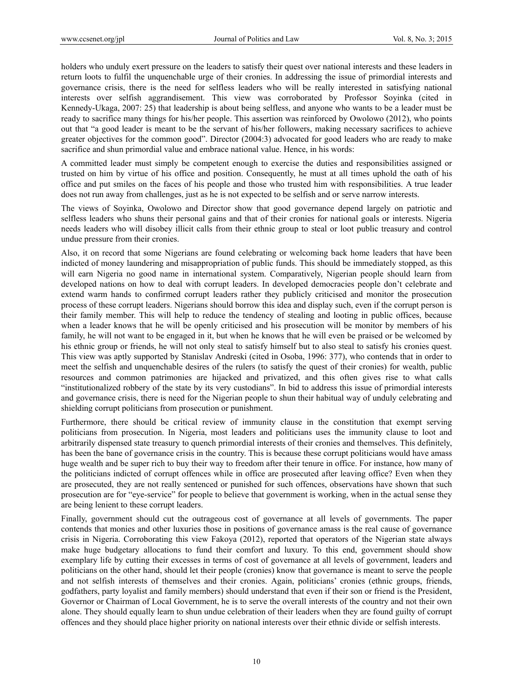holders who unduly exert pressure on the leaders to satisfy their quest over national interests and these leaders in return loots to fulfil the unquenchable urge of their cronies. In addressing the issue of primordial interests and governance crisis, there is the need for selfless leaders who will be really interested in satisfying national interests over selfish aggrandisement. This view was corroborated by Professor Soyinka (cited in Kennedy-Ukaga, 2007: 25) that leadership is about being selfless, and anyone who wants to be a leader must be ready to sacrifice many things for his/her people. This assertion was reinforced by Owolowo (2012), who points out that "a good leader is meant to be the servant of his/her followers, making necessary sacrifices to achieve greater objectives for the common good". Director (2004:3) advocated for good leaders who are ready to make sacrifice and shun primordial value and embrace national value. Hence, in his words:

A committed leader must simply be competent enough to exercise the duties and responsibilities assigned or trusted on him by virtue of his office and position. Consequently, he must at all times uphold the oath of his office and put smiles on the faces of his people and those who trusted him with responsibilities. A true leader does not run away from challenges, just as he is not expected to be selfish and or serve narrow interests.

The views of Soyinka, Owolowo and Director show that good governance depend largely on patriotic and selfless leaders who shuns their personal gains and that of their cronies for national goals or interests. Nigeria needs leaders who will disobey illicit calls from their ethnic group to steal or loot public treasury and control undue pressure from their cronies.

Also, it on record that some Nigerians are found celebrating or welcoming back home leaders that have been indicted of money laundering and misappropriation of public funds. This should be immediately stopped, as this will earn Nigeria no good name in international system. Comparatively, Nigerian people should learn from developed nations on how to deal with corrupt leaders. In developed democracies people don't celebrate and extend warm hands to confirmed corrupt leaders rather they publicly criticised and monitor the prosecution process of these corrupt leaders. Nigerians should borrow this idea and display such, even if the corrupt person is their family member. This will help to reduce the tendency of stealing and looting in public offices, because when a leader knows that he will be openly criticised and his prosecution will be monitor by members of his family, he will not want to be engaged in it, but when he knows that he will even be praised or be welcomed by his ethnic group or friends, he will not only steal to satisfy himself but to also steal to satisfy his cronies quest. This view was aptly supported by Stanislav Andreski (cited in Osoba, 1996: 377), who contends that in order to meet the selfish and unquenchable desires of the rulers (to satisfy the quest of their cronies) for wealth, public resources and common patrimonies are hijacked and privatized, and this often gives rise to what calls "institutionalized robbery of the state by its very custodians". In bid to address this issue of primordial interests and governance crisis, there is need for the Nigerian people to shun their habitual way of unduly celebrating and shielding corrupt politicians from prosecution or punishment.

Furthermore, there should be critical review of immunity clause in the constitution that exempt serving politicians from prosecution. In Nigeria, most leaders and politicians uses the immunity clause to loot and arbitrarily dispensed state treasury to quench primordial interests of their cronies and themselves. This definitely, has been the bane of governance crisis in the country. This is because these corrupt politicians would have amass huge wealth and be super rich to buy their way to freedom after their tenure in office. For instance, how many of the politicians indicted of corrupt offences while in office are prosecuted after leaving office? Even when they are prosecuted, they are not really sentenced or punished for such offences, observations have shown that such prosecution are for "eye-service" for people to believe that government is working, when in the actual sense they are being lenient to these corrupt leaders.

Finally, government should cut the outrageous cost of governance at all levels of governments. The paper contends that monies and other luxuries those in positions of governance amass is the real cause of governance crisis in Nigeria. Corroborating this view Fakoya (2012), reported that operators of the Nigerian state always make huge budgetary allocations to fund their comfort and luxury. To this end, government should show exemplary life by cutting their excesses in terms of cost of governance at all levels of government, leaders and politicians on the other hand, should let their people (cronies) know that governance is meant to serve the people and not selfish interests of themselves and their cronies. Again, politicians' cronies (ethnic groups, friends, godfathers, party loyalist and family members) should understand that even if their son or friend is the President, Governor or Chairman of Local Government, he is to serve the overall interests of the country and not their own alone. They should equally learn to shun undue celebration of their leaders when they are found guilty of corrupt offences and they should place higher priority on national interests over their ethnic divide or selfish interests.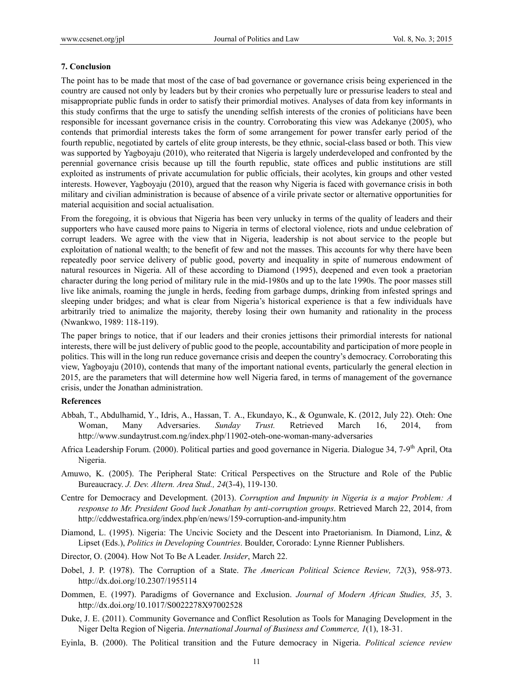#### **7. Conclusion**

The point has to be made that most of the case of bad governance or governance crisis being experienced in the country are caused not only by leaders but by their cronies who perpetually lure or pressurise leaders to steal and misappropriate public funds in order to satisfy their primordial motives. Analyses of data from key informants in this study confirms that the urge to satisfy the unending selfish interests of the cronies of politicians have been responsible for incessant governance crisis in the country. Corroborating this view was Adekanye (2005), who contends that primordial interests takes the form of some arrangement for power transfer early period of the fourth republic, negotiated by cartels of elite group interests, be they ethnic, social-class based or both. This view was supported by Yagboyaju (2010), who reiterated that Nigeria is largely underdeveloped and confronted by the perennial governance crisis because up till the fourth republic, state offices and public institutions are still exploited as instruments of private accumulation for public officials, their acolytes, kin groups and other vested interests. However, Yagboyaju (2010), argued that the reason why Nigeria is faced with governance crisis in both military and civilian administration is because of absence of a virile private sector or alternative opportunities for material acquisition and social actualisation.

From the foregoing, it is obvious that Nigeria has been very unlucky in terms of the quality of leaders and their supporters who have caused more pains to Nigeria in terms of electoral violence, riots and undue celebration of corrupt leaders. We agree with the view that in Nigeria, leadership is not about service to the people but exploitation of national wealth; to the benefit of few and not the masses. This accounts for why there have been repeatedly poor service delivery of public good, poverty and inequality in spite of numerous endowment of natural resources in Nigeria. All of these according to Diamond (1995), deepened and even took a praetorian character during the long period of military rule in the mid-1980s and up to the late 1990s. The poor masses still live like animals, roaming the jungle in herds, feeding from garbage dumps, drinking from infested springs and sleeping under bridges; and what is clear from Nigeria's historical experience is that a few individuals have arbitrarily tried to animalize the majority, thereby losing their own humanity and rationality in the process (Nwankwo, 1989: 118-119).

The paper brings to notice, that if our leaders and their cronies jettisons their primordial interests for national interests, there will be just delivery of public good to the people, accountability and participation of more people in politics. This will in the long run reduce governance crisis and deepen the country's democracy. Corroborating this view, Yagboyaju (2010), contends that many of the important national events, particularly the general election in 2015, are the parameters that will determine how well Nigeria fared, in terms of management of the governance crisis, under the Jonathan administration.

#### **References**

- Abbah, T., Abdulhamid, Y., Idris, A., Hassan, T. A., Ekundayo, K., & Ogunwale, K. (2012, July 22). Oteh: One Woman, Many Adversaries. *Sunday Trust.* Retrieved March 16, 2014, from http://www.sundaytrust.com.ng/index.php/11902-oteh-one-woman-many-adversaries
- Africa Leadership Forum. (2000). Political parties and good governance in Nigeria. Dialogue 34, 7-9<sup>th</sup> April, Ota Nigeria.
- Amuwo, K. (2005). The Peripheral State: Critical Perspectives on the Structure and Role of the Public Bureaucracy. *J. Dev. Altern. Area Stud., 24*(3-4), 119-130.
- Centre for Democracy and Development. (2013). *Corruption and Impunity in Nigeria is a major Problem: A response to Mr. President Good luck Jonathan by anti-corruption groups*. Retrieved March 22, 2014, from http://cddwestafrica.org/index.php/en/news/159-corruption-and-impunity.htm
- Diamond, L. (1995). Nigeria: The Uncivic Society and the Descent into Praetorianism. In Diamond, Linz, & Lipset (Eds.), *Politics in Developing Countries*. Boulder, Cororado: Lynne Rienner Publishers.
- Director, O. (2004). How Not To Be A Leader. *Insider*, March 22.
- Dobel, J. P. (1978). The Corruption of a State. *The American Political Science Review, 72*(3), 958-973. http://dx.doi.org/10.2307/1955114
- Dommen, E. (1997). Paradigms of Governance and Exclusion. *Journal of Modern African Studies, 35*, 3. http://dx.doi.org/10.1017/S0022278X97002528
- Duke, J. E. (2011). Community Governance and Conflict Resolution as Tools for Managing Development in the Niger Delta Region of Nigeria. *International Journal of Business and Commerce, 1*(1), 18-31.
- Eyinla, B. (2000). The Political transition and the Future democracy in Nigeria. *Political science review*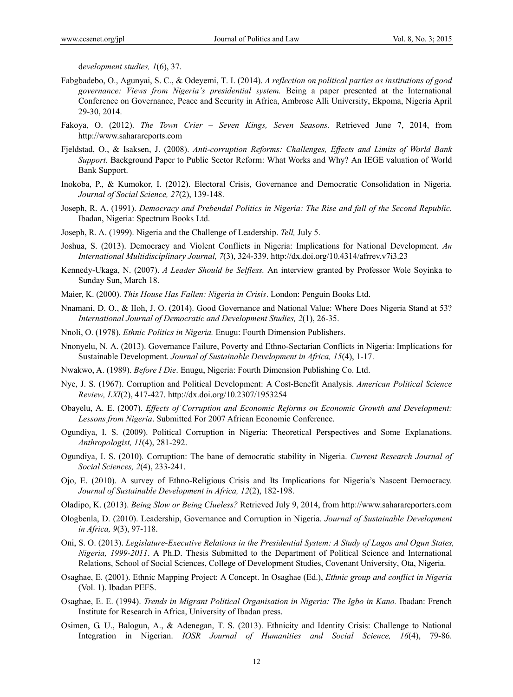d*evelopment studies, 1*(6), 37.

- Fabgbadebo, O., Agunyai, S. C., & Odeyemi, T. I. (2014). *A reflection on political parties as institutions of good governance: Views from Nigeria's presidential system.* Being a paper presented at the International Conference on Governance, Peace and Security in Africa, Ambrose Alli University, Ekpoma, Nigeria April 29-30, 2014.
- Fakoya, O. (2012). *The Town Crier Seven Kings, Seven Seasons.* Retrieved June 7, 2014, from http://www.saharareports.com
- Fjeldstad, O., & Isaksen, J. (2008). *Anti-corruption Reforms: Challenges, Effects and Limits of World Bank Support*. Background Paper to Public Sector Reform: What Works and Why? An IEGE valuation of World Bank Support.
- Inokoba, P., & Kumokor, I. (2012). Electoral Crisis, Governance and Democratic Consolidation in Nigeria. *Journal of Social Science, 27*(2), 139-148.
- Joseph, R. A. (1991). *Democracy and Prebendal Politics in Nigeria: The Rise and fall of the Second Republic.*  Ibadan, Nigeria: Spectrum Books Ltd.
- Joseph, R. A. (1999). Nigeria and the Challenge of Leadership. *Tell,* July 5.
- Joshua, S. (2013). Democracy and Violent Conflicts in Nigeria: Implications for National Development. *An International Multidisciplinary Journal, 7*(3), 324-339. http://dx.doi.org/10.4314/afrrev.v7i3.23
- Kennedy-Ukaga, N. (2007). *A Leader Should be Selfless.* An interview granted by Professor Wole Soyinka to Sunday Sun, March 18.
- Maier, K. (2000). *This House Has Fallen: Nigeria in Crisis*. London: Penguin Books Ltd.
- Nnamani, D. O., & IIoh, J. O. (2014). Good Governance and National Value: Where Does Nigeria Stand at 53? *International Journal of Democratic and Development Studies, 2*(1), 26-35.
- Nnoli, O. (1978). *Ethnic Politics in Nigeria.* Enugu: Fourth Dimension Publishers.
- Nnonyelu, N. A. (2013). Governance Failure, Poverty and Ethno-Sectarian Conflicts in Nigeria: Implications for Sustainable Development. *Journal of Sustainable Development in Africa, 15*(4), 1-17.
- Nwakwo, A. (1989). *Before I Die*. Enugu, Nigeria: Fourth Dimension Publishing Co. Ltd.
- Nye, J. S. (1967). Corruption and Political Development: A Cost-Benefit Analysis. *American Political Science Review, LXI*(2), 417-427. http://dx.doi.org/10.2307/1953254
- Obayelu, A. E. (2007). *Effects of Corruption and Economic Reforms on Economic Growth and Development: Lessons from Nigeria*. Submitted For 2007 African Economic Conference.
- Ogundiya, I. S. (2009). Political Corruption in Nigeria: Theoretical Perspectives and Some Explanations. *Anthropologist, 11*(4), 281-292.
- Ogundiya, I. S. (2010). Corruption: The bane of democratic stability in Nigeria. *Current Research Journal of Social Sciences, 2*(4), 233-241.
- Ojo, E. (2010). A survey of Ethno-Religious Crisis and Its Implications for Nigeria's Nascent Democracy. *Journal of Sustainable Development in Africa, 12*(2), 182-198.
- Oladipo, K. (2013). *Being Slow or Being Clueless?* Retrieved July 9, 2014, from http://www.saharareporters.com
- Ologbenla, D. (2010). Leadership, Governance and Corruption in Nigeria. *Journal of Sustainable Development in Africa, 9*(3), 97-118.
- Oni, S. O. (2013). *Legislature-Executive Relations in the Presidential System: A Study of Lagos and Ogun States, Nigeria, 1999-2011*. A Ph.D. Thesis Submitted to the Department of Political Science and International Relations, School of Social Sciences, College of Development Studies, Covenant University, Ota, Nigeria.
- Osaghae, E. (2001). Ethnic Mapping Project: A Concept. In Osaghae (Ed.), *Ethnic group and conflict in Nigeria* (Vol. 1). Ibadan PEFS.
- Osaghae, E. E. (1994). *Trends in Migrant Political Organisation in Nigeria: The Igbo in Kano.* Ibadan: French Institute for Research in Africa, University of Ibadan press.
- Osimen, G. U., Balogun, A., & Adenegan, T. S. (2013). Ethnicity and Identity Crisis: Challenge to National Integration in Nigerian. *IOSR Journal of Humanities and Social Science, 16*(4), 79-86.